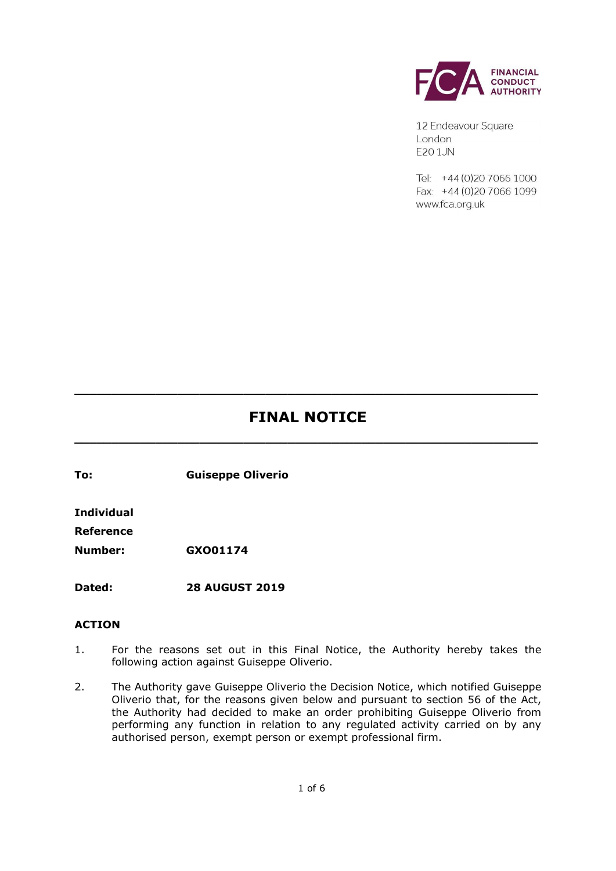

12 Endeavour Square London F201JN

 $Tel - +44(0)2070661000$ Fax: +44 (0) 20 7066 1099 www.fca.org.uk

# **FINAL NOTICE**

**\_\_\_\_\_\_\_\_\_\_\_\_\_\_\_\_\_\_\_\_\_\_\_\_\_\_\_\_\_\_\_\_\_\_\_\_\_\_\_\_\_\_\_\_\_\_\_\_\_\_\_\_\_\_\_\_\_\_\_\_\_\_\_**

**\_\_\_\_\_\_\_\_\_\_\_\_\_\_\_\_\_\_\_\_\_\_\_\_\_\_\_\_\_\_\_\_\_\_\_\_\_\_\_\_\_\_\_\_\_\_\_\_\_\_\_\_\_\_\_\_\_\_\_\_\_\_\_**

**To: Guiseppe Oliverio** 

**Individual**

**Reference**

**Number: GXO01174**

**Dated: 28 AUGUST 2019**

#### **ACTION**

- 1. For the reasons set out in this Final Notice, the Authority hereby takes the following action against Guiseppe Oliverio.
- 2. The Authority gave Guiseppe Oliverio the Decision Notice, which notified Guiseppe Oliverio that, for the reasons given below and pursuant to section 56 of the Act, the Authority had decided to make an order prohibiting Guiseppe Oliverio from performing any function in relation to any regulated activity carried on by any authorised person, exempt person or exempt professional firm.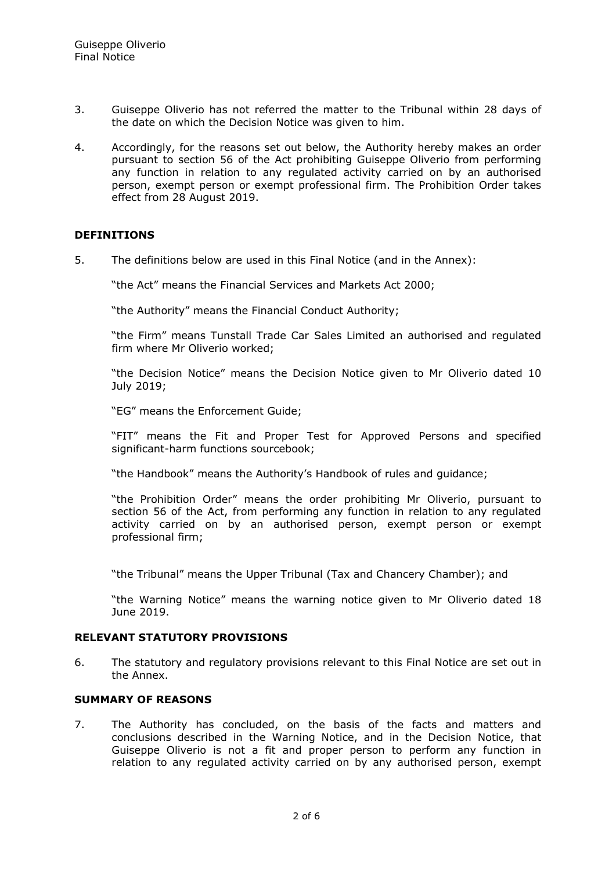- 3. Guiseppe Oliverio has not referred the matter to the Tribunal within 28 days of the date on which the Decision Notice was given to him.
- 4. Accordingly, for the reasons set out below, the Authority hereby makes an order pursuant to section 56 of the Act prohibiting Guiseppe Oliverio from performing any function in relation to any regulated activity carried on by an authorised person, exempt person or exempt professional firm. The Prohibition Order takes effect from 28 August 2019.

#### **DEFINITIONS**

5. The definitions below are used in this Final Notice (and in the Annex):

"the Act" means the Financial Services and Markets Act 2000;

"the Authority" means the Financial Conduct Authority;

"the Firm" means Tunstall Trade Car Sales Limited an authorised and regulated firm where Mr Oliverio worked;

"the Decision Notice" means the Decision Notice given to Mr Oliverio dated 10 July 2019;

"EG" means the Enforcement Guide;

"FIT" means the Fit and Proper Test for Approved Persons and specified significant-harm functions sourcebook;

"the Handbook" means the Authority's Handbook of rules and guidance;

"the Prohibition Order" means the order prohibiting Mr Oliverio, pursuant to section 56 of the Act, from performing any function in relation to any regulated activity carried on by an authorised person, exempt person or exempt professional firm;

"the Tribunal" means the Upper Tribunal (Tax and Chancery Chamber); and

"the Warning Notice" means the warning notice given to Mr Oliverio dated 18 June 2019.

#### **RELEVANT STATUTORY PROVISIONS**

6. The statutory and regulatory provisions relevant to this Final Notice are set out in the Annex.

# **SUMMARY OF REASONS**

7. The Authority has concluded, on the basis of the facts and matters and conclusions described in the Warning Notice, and in the Decision Notice, that Guiseppe Oliverio is not a fit and proper person to perform any function in relation to any regulated activity carried on by any authorised person, exempt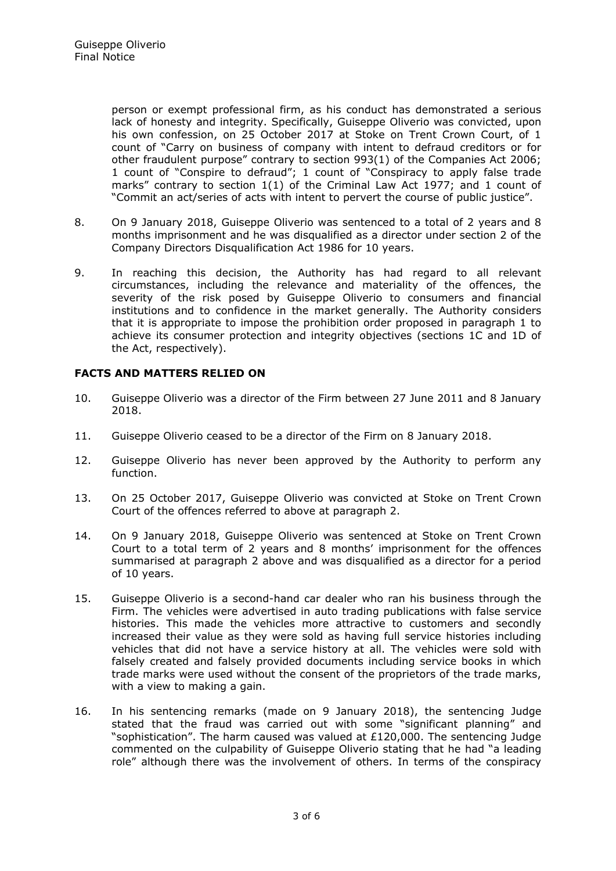person or exempt professional firm, as his conduct has demonstrated a serious lack of honesty and integrity. Specifically, Guiseppe Oliverio was convicted, upon his own confession, on 25 October 2017 at Stoke on Trent Crown Court, of 1 count of "Carry on business of company with intent to defraud creditors or for other fraudulent purpose" contrary to section 993(1) of the Companies Act 2006; 1 count of "Conspire to defraud"; 1 count of "Conspiracy to apply false trade marks" contrary to section 1(1) of the Criminal Law Act 1977; and 1 count of "Commit an act/series of acts with intent to pervert the course of public justice".

- 8. On 9 January 2018, Guiseppe Oliverio was sentenced to a total of 2 years and 8 months imprisonment and he was disqualified as a director under section 2 of the Company Directors Disqualification Act 1986 for 10 years.
- 9. In reaching this decision, the Authority has had regard to all relevant circumstances, including the relevance and materiality of the offences, the severity of the risk posed by Guiseppe Oliverio to consumers and financial institutions and to confidence in the market generally. The Authority considers that it is appropriate to impose the prohibition order proposed in paragraph 1 to achieve its consumer protection and integrity objectives (sections 1C and 1D of the Act, respectively).

# **FACTS AND MATTERS RELIED ON**

- 10. Guiseppe Oliverio was a director of the Firm between 27 June 2011 and 8 January 2018.
- 11. Guiseppe Oliverio ceased to be a director of the Firm on 8 January 2018.
- 12. Guiseppe Oliverio has never been approved by the Authority to perform any function.
- 13. On 25 October 2017, Guiseppe Oliverio was convicted at Stoke on Trent Crown Court of the offences referred to above at paragraph 2.
- 14. On 9 January 2018, Guiseppe Oliverio was sentenced at Stoke on Trent Crown Court to a total term of 2 years and 8 months' imprisonment for the offences summarised at paragraph 2 above and was disqualified as a director for a period of 10 years.
- 15. Guiseppe Oliverio is a second-hand car dealer who ran his business through the Firm. The vehicles were advertised in auto trading publications with false service histories. This made the vehicles more attractive to customers and secondly increased their value as they were sold as having full service histories including vehicles that did not have a service history at all. The vehicles were sold with falsely created and falsely provided documents including service books in which trade marks were used without the consent of the proprietors of the trade marks, with a view to making a gain.
- 16. In his sentencing remarks (made on 9 January 2018), the sentencing Judge stated that the fraud was carried out with some "significant planning" and "sophistication". The harm caused was valued at £120,000. The sentencing Judge commented on the culpability of Guiseppe Oliverio stating that he had "a leading role" although there was the involvement of others. In terms of the conspiracy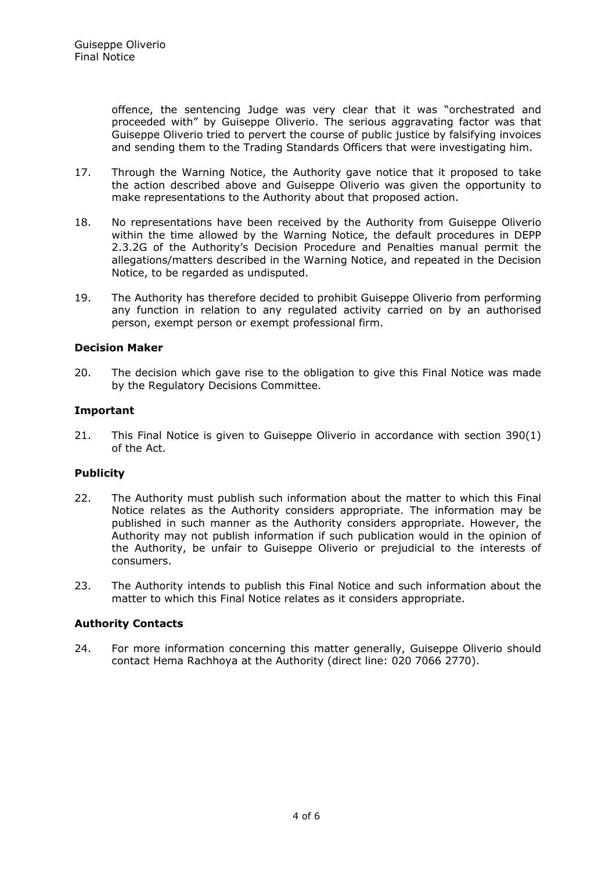offence, the sentencing Judge was very clear that it was "orchestrated and proceeded with" by Guiseppe Oliverio. The serious aggravating factor was that Guiseppe Oliverio tried to pervert the course of public justice by falsifying invoices and sending them to the Trading Standards Officers that were investigating him.

- 17. Through the Warning Notice, the Authority gave notice that it proposed to take the action described above and Guiseppe Oliverio was given the opportunity to make representations to the Authority about that proposed action.
- 18. No representations have been received by the Authority from Guiseppe Oliverio within the time allowed by the Warning Notice, the default procedures in DEPP 2.3.2G of the Authority's Decision Procedure and Penalties manual permit the allegations/matters described in the Warning Notice, and repeated in the Decision Notice, to be regarded as undisputed.
- 19. The Authority has therefore decided to prohibit Guiseppe Oliverio from performing any function in relation to any regulated activity carried on by an authorised person, exempt person or exempt professional firm.

# **Decision Maker**

20. The decision which gave rise to the obligation to give this Final Notice was made by the Regulatory Decisions Committee.

# **Important**

21. This Final Notice is given to Guiseppe Oliverio in accordance with section 390(1) of the Act.

#### **Publicity**

- 22. The Authority must publish such information about the matter to which this Final Notice relates as the Authority considers appropriate. The information may be published in such manner as the Authority considers appropriate. However, the Authority may not publish information if such publication would in the opinion of the Authority, be unfair to Guiseppe Oliverio or prejudicial to the interests of consumers.
- 23. The Authority intends to publish this Final Notice and such information about the matter to which this Final Notice relates as it considers appropriate.

#### **Authority Contacts**

24. For more information concerning this matter generally, Guiseppe Oliverio should contact Hema Rachhoya at the Authority (direct line: 020 7066 2770).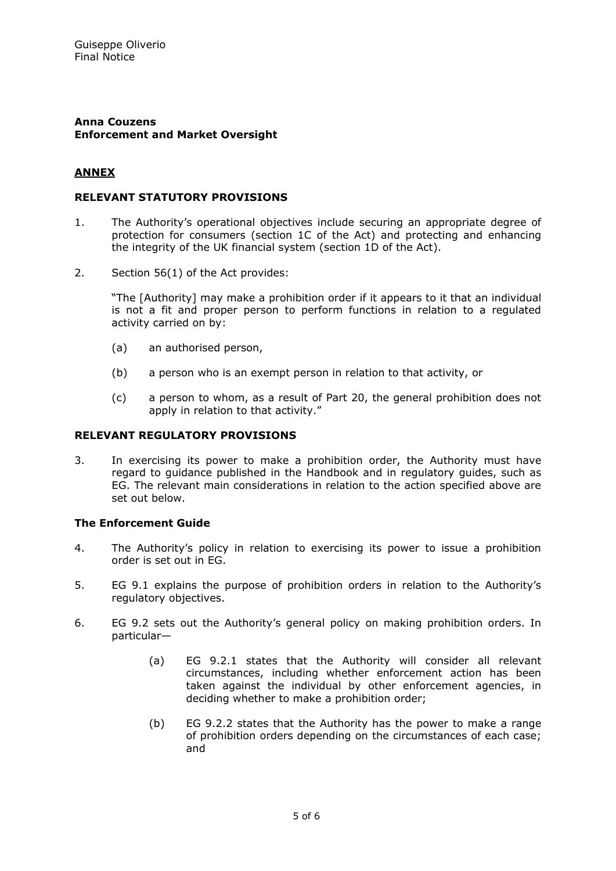#### **Anna Couzens Enforcement and Market Oversight**

# **ANNEX**

# **RELEVANT STATUTORY PROVISIONS**

- 1. The Authority's operational objectives include securing an appropriate degree of protection for consumers (section 1C of the Act) and protecting and enhancing the integrity of the UK financial system (section 1D of the Act).
- 2. Section 56(1) of the Act provides:

"The [Authority] may make a prohibition order if it appears to it that an individual is not a fit and proper person to perform functions in relation to a regulated activity carried on by:

- (a) an authorised person,
- (b) a person who is an exempt person in relation to that activity, or
- (c) a person to whom, as a result of Part 20, the general prohibition does not apply in relation to that activity."

# **RELEVANT REGULATORY PROVISIONS**

3. In exercising its power to make a prohibition order, the Authority must have regard to guidance published in the Handbook and in regulatory guides, such as EG. The relevant main considerations in relation to the action specified above are set out below.

#### **The Enforcement Guide**

- 4. The Authority's policy in relation to exercising its power to issue a prohibition order is set out in EG.
- 5. EG 9.1 explains the purpose of prohibition orders in relation to the Authority's regulatory objectives.
- 6. EG 9.2 sets out the Authority's general policy on making prohibition orders. In particular—
	- (a) EG 9.2.1 states that the Authority will consider all relevant circumstances, including whether enforcement action has been taken against the individual by other enforcement agencies, in deciding whether to make a prohibition order;
	- (b) EG 9.2.2 states that the Authority has the power to make a range of prohibition orders depending on the circumstances of each case; and